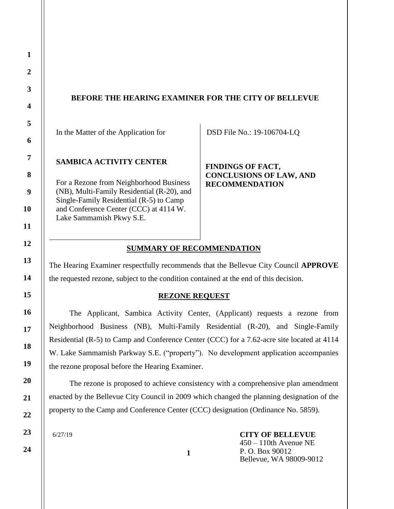# **BEFORE THE HEARING EXAMINER FOR THE CITY OF BELLEVUE**

In the Matter of the Application for

### **SAMBICA ACTIVITY CENTER**

For a Rezone from Neighborhood Business (NB), Multi-Family Residential (R-20), and Single-Family Residential (R-5) to Camp and Conference Center (CCC) at 4114 W. Lake Sammamish Pkwy S.E.

DSD File No.: 19-106704-LQ

**FINDINGS OF FACT, CONCLUSIONS OF LAW, AND RECOMMENDATION**

# **SUMMARY OF RECOMMENDATION**

The Hearing Examiner respectfully recommends that the Bellevue City Council **APPROVE** the requested rezone, subject to the condition contained at the end of this decision.

## **REZONE REQUEST**

The Applicant, Sambica Activity Center, (Applicant) requests a rezone from Neighborhood Business (NB), Multi-Family Residential (R-20), and Single-Family Residential (R-5) to Camp and Conference Center (CCC) for a 7.62-acre site located at 4114 W. Lake Sammamish Parkway S.E. ("property"). No development application accompanies the rezone proposal before the Hearing Examiner.

The rezone is proposed to achieve consistency with a comprehensive plan amendment enacted by the Bellevue City Council in 2009 which changed the planning designation of the property to the Camp and Conference Center (CCC) designation (Ordinance No. 5859).

6/27/19

**CITY OF BELLEVUE** 450 – 110th Avenue NE P. O. Box 90012 Bellevue, WA 98009-9012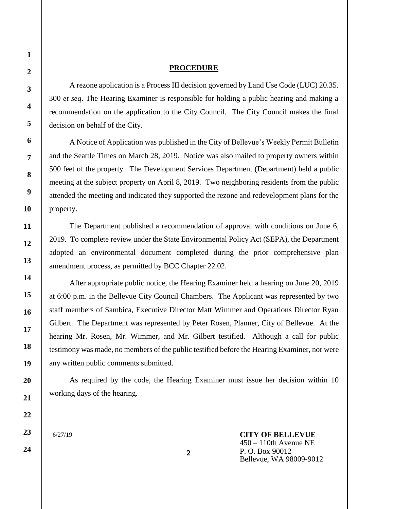## **PROCEDURE**

A rezone application is a Process III decision governed by Land Use Code (LUC) 20.35. 300 *et seq*. The Hearing Examiner is responsible for holding a public hearing and making a recommendation on the application to the City Council. The City Council makes the final decision on behalf of the City.

A Notice of Application was published in the City of Bellevue's Weekly Permit Bulletin and the Seattle Times on March 28, 2019. Notice was also mailed to property owners within 500 feet of the property. The Development Services Department (Department) held a public meeting at the subject property on April 8, 2019. Two neighboring residents from the public attended the meeting and indicated they supported the rezone and redevelopment plans for the property.

The Department published a recommendation of approval with conditions on June 6, 2019. To complete review under the State Environmental Policy Act (SEPA), the Department adopted an environmental document completed during the prior comprehensive plan amendment process, as permitted by BCC Chapter 22.02.

After appropriate public notice, the Hearing Examiner held a hearing on June 20, 2019 at 6:00 p.m. in the Bellevue City Council Chambers. The Applicant was represented by two staff members of Sambica, Executive Director Matt Wimmer and Operations Director Ryan Gilbert. The Department was represented by Peter Rosen, Planner, City of Bellevue. At the hearing Mr. Rosen, Mr. Wimmer, and Mr. Gilbert testified. Although a call for public testimony was made, no members of the public testified before the Hearing Examiner, nor were any written public comments submitted.

As required by the code, the Hearing Examiner must issue her decision within 10 working days of the hearing.

**2**

6/27/19

**CITY OF BELLEVUE** 450 – 110th Avenue NE P. O. Box 90012 Bellevue, WA 98009-9012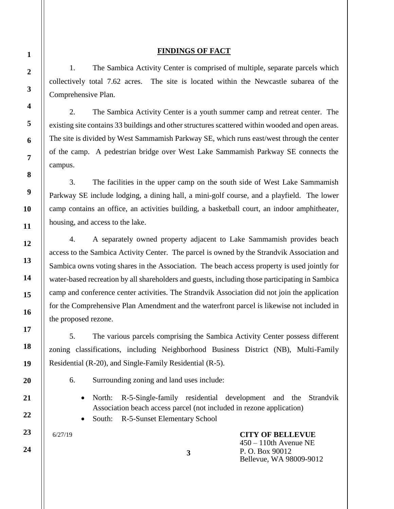# **FINDINGS OF FACT**

1. The Sambica Activity Center is comprised of multiple, separate parcels which collectively total 7.62 acres. The site is located within the Newcastle subarea of the Comprehensive Plan.

2. The Sambica Activity Center is a youth summer camp and retreat center. The existing site contains 33 buildings and other structures scattered within wooded and open areas. The site is divided by West Sammamish Parkway SE, which runs east/west through the center of the camp. A pedestrian bridge over West Lake Sammamish Parkway SE connects the campus.

3. The facilities in the upper camp on the south side of West Lake Sammamish Parkway SE include lodging, a dining hall, a mini-golf course, and a playfield. The lower camp contains an office, an activities building, a basketball court, an indoor amphitheater, housing, and access to the lake.

4. A separately owned property adjacent to Lake Sammamish provides beach access to the Sambica Activity Center. The parcel is owned by the Strandvik Association and Sambica owns voting shares in the Association. The beach access property is used jointly for water-based recreation by all shareholders and guests, including those participating in Sambica camp and conference center activities. The Strandvik Association did not join the application for the Comprehensive Plan Amendment and the waterfront parcel is likewise not included in the proposed rezone.

5. The various parcels comprising the Sambica Activity Center possess different zoning classifications, including Neighborhood Business District (NB), Multi-Family Residential (R-20), and Single-Family Residential (R-5).

**3**

- 6. Surrounding zoning and land uses include:
	- North: R-5-Single-family residential development and the Strandvik Association beach access parcel (not included in rezone application)
	- South: R-5-Sunset Elementary School

6/27/19

**CITY OF BELLEVUE** 450 – 110th Avenue NE P. O. Box 90012 Bellevue, WA 98009-9012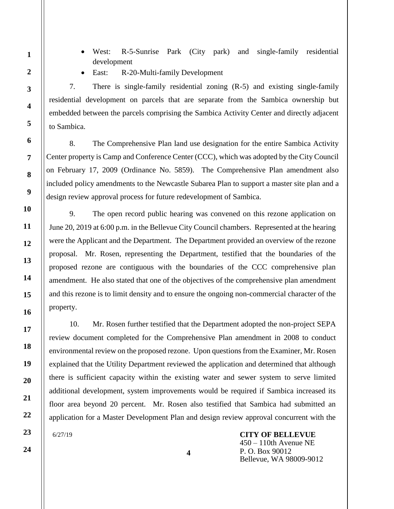- West: R-5-Sunrise Park (City park) and single-family residential development
- 
- East: R-20-Multi-family Development

7. There is single-family residential zoning (R-5) and existing single-family residential development on parcels that are separate from the Sambica ownership but embedded between the parcels comprising the Sambica Activity Center and directly adjacent to Sambica.

8. The Comprehensive Plan land use designation for the entire Sambica Activity Center property is Camp and Conference Center (CCC), which was adopted by the City Council on February 17, 2009 (Ordinance No. 5859). The Comprehensive Plan amendment also included policy amendments to the Newcastle Subarea Plan to support a master site plan and a design review approval process for future redevelopment of Sambica.

9. The open record public hearing was convened on this rezone application on June 20, 2019 at 6:00 p.m. in the Bellevue City Council chambers. Represented at the hearing were the Applicant and the Department. The Department provided an overview of the rezone proposal. Mr. Rosen, representing the Department, testified that the boundaries of the proposed rezone are contiguous with the boundaries of the CCC comprehensive plan amendment. He also stated that one of the objectives of the comprehensive plan amendment and this rezone is to limit density and to ensure the ongoing non-commercial character of the property.

10. Mr. Rosen further testified that the Department adopted the non-project SEPA review document completed for the Comprehensive Plan amendment in 2008 to conduct environmental review on the proposed rezone. Upon questions from the Examiner, Mr. Rosen explained that the Utility Department reviewed the application and determined that although there is sufficient capacity within the existing water and sewer system to serve limited additional development, system improvements would be required if Sambica increased its floor area beyond 20 percent. Mr. Rosen also testified that Sambica had submitted an application for a Master Development Plan and design review approval concurrent with the

6/27/19

**CITY OF BELLEVUE** 450 – 110th Avenue NE P. O. Box 90012 Bellevue, WA 98009-9012

**1**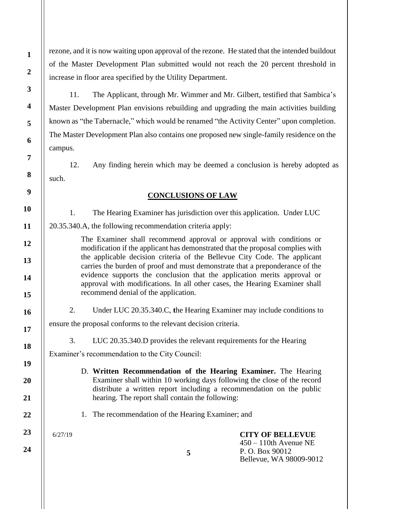rezone, and it is now waiting upon approval of the rezone. He stated that the intended buildout of the Master Development Plan submitted would not reach the 20 percent threshold in increase in floor area specified by the Utility Department.

11. The Applicant, through Mr. Wimmer and Mr. Gilbert, testified that Sambica's Master Development Plan envisions rebuilding and upgrading the main activities building known as "the Tabernacle," which would be renamed "the Activity Center" upon completion. The Master Development Plan also contains one proposed new single-family residence on the campus.

12. Any finding herein which may be deemed a conclusion is hereby adopted as such.

# **CONCLUSIONS OF LAW**

1. The Hearing Examiner has jurisdiction over this application. Under LUC

20.35.340.A, the following recommendation criteria apply:

The Examiner shall recommend approval or approval with conditions or modification if the applicant has demonstrated that the proposal complies with the applicable decision criteria of the Bellevue City Code. The applicant carries the burden of proof and must demonstrate that a preponderance of the evidence supports the conclusion that the application merits approval or approval with modifications. In all other cases, the Hearing Examiner shall recommend denial of the application.

2. Under LUC 20.35.340.C, **t**he Hearing Examiner may include conditions to

ensure the proposal conforms to the relevant decision criteria.

3. LUC 20.35.340.D provides the relevant requirements for the Hearing

**5**

Examiner's recommendation to the City Council:

- D. **Written Recommendation of the Hearing Examiner.** The Hearing Examiner shall within 10 working days following the close of the record distribute a written report including a recommendation on the public hearing. The report shall contain the following:
- 1. The recommendation of the Hearing Examiner; and

6/27/19

**CITY OF BELLEVUE** 450 – 110th Avenue NE P. O. Box 90012 Bellevue, WA 98009-9012

**1**

**2**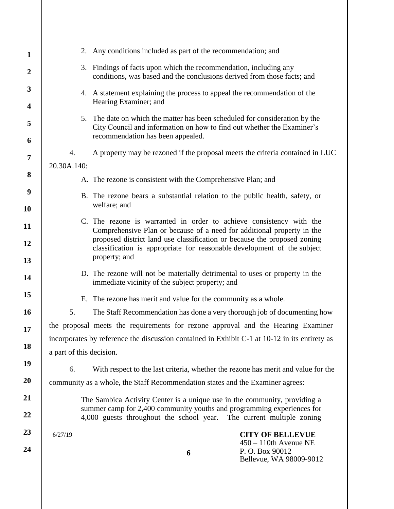| $\mathbf{1}$                 |                                                                                                                                                                                            | 2. Any conditions included as part of the recommendation; and                     |                                                                       |
|------------------------------|--------------------------------------------------------------------------------------------------------------------------------------------------------------------------------------------|-----------------------------------------------------------------------------------|-----------------------------------------------------------------------|
| $\boldsymbol{2}$             | 3. Findings of facts upon which the recommendation, including any<br>conditions, was based and the conclusions derived from those facts; and                                               |                                                                                   |                                                                       |
| 3<br>$\overline{\mathbf{4}}$ | 4. A statement explaining the process to appeal the recommendation of the<br>Hearing Examiner; and                                                                                         |                                                                                   |                                                                       |
| 5                            | 5. The date on which the matter has been scheduled for consideration by the<br>City Council and information on how to find out whether the Examiner's<br>recommendation has been appealed. |                                                                                   |                                                                       |
| 6                            |                                                                                                                                                                                            |                                                                                   |                                                                       |
| 7                            | 4.                                                                                                                                                                                         | A property may be rezoned if the proposal meets the criteria contained in LUC     |                                                                       |
| 8                            | 20.30A.140:                                                                                                                                                                                |                                                                                   |                                                                       |
|                              | A. The rezone is consistent with the Comprehensive Plan; and                                                                                                                               |                                                                                   |                                                                       |
| 9                            | B. The rezone bears a substantial relation to the public health, safety, or                                                                                                                |                                                                                   |                                                                       |
| <b>10</b>                    | welfare; and                                                                                                                                                                               |                                                                                   |                                                                       |
| 11                           | C. The rezone is warranted in order to achieve consistency with the<br>Comprehensive Plan or because of a need for additional property in the                                              |                                                                                   |                                                                       |
| 12                           | proposed district land use classification or because the proposed zoning<br>classification is appropriate for reasonable development of the subject<br>property; and                       |                                                                                   |                                                                       |
| 13                           |                                                                                                                                                                                            |                                                                                   |                                                                       |
| 14                           | D. The rezone will not be materially detrimental to uses or property in the<br>immediate vicinity of the subject property; and                                                             |                                                                                   |                                                                       |
| 15                           | E. The rezone has merit and value for the community as a whole.                                                                                                                            |                                                                                   |                                                                       |
| <b>16</b>                    | 5.                                                                                                                                                                                         | The Staff Recommendation has done a very thorough job of documenting how          |                                                                       |
| 17                           | the proposal meets the requirements for rezone approval and the Hearing Examiner                                                                                                           |                                                                                   |                                                                       |
|                              | incorporates by reference the discussion contained in Exhibit C-1 at 10-12 in its entirety as                                                                                              |                                                                                   |                                                                       |
| 18                           | a part of this decision.                                                                                                                                                                   |                                                                                   |                                                                       |
| 19                           | 6.                                                                                                                                                                                         | With respect to the last criteria, whether the rezone has merit and value for the |                                                                       |
| 20                           | community as a whole, the Staff Recommendation states and the Examiner agrees:                                                                                                             |                                                                                   |                                                                       |
| 21                           | The Sambica Activity Center is a unique use in the community, providing a                                                                                                                  |                                                                                   |                                                                       |
| 22                           | summer camp for 2,400 community youths and programming experiences for<br>4,000 guests throughout the school year. The current multiple zoning                                             |                                                                                   |                                                                       |
| 23                           | 6/27/19                                                                                                                                                                                    |                                                                                   | <b>CITY OF BELLEVUE</b>                                               |
| 24                           |                                                                                                                                                                                            | 6                                                                                 | $450 - 110$ th Avenue NE<br>P.O. Box 90012<br>Bellevue, WA 98009-9012 |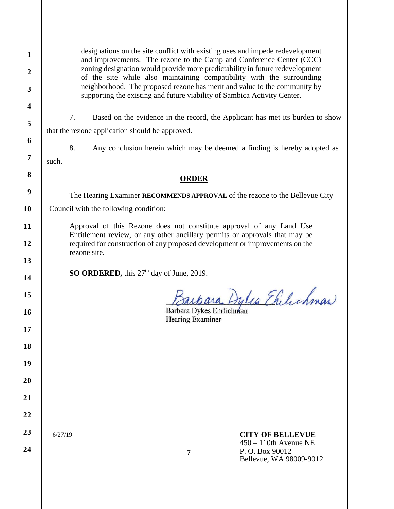designations on the site conflict with existing uses and impede redevelopment and improvements. The rezone to the Camp and Conference Center (CCC) zoning designation would provide more predictability in future redevelopment of the site while also maintaining compatibility with the surrounding neighborhood. The proposed rezone has merit and value to the community by supporting the existing and future viability of Sambica Activity Center.

7. Based on the evidence in the record, the Applicant has met its burden to show that the rezone application should be approved.

8. Any conclusion herein which may be deemed a finding is hereby adopted as such.

# **ORDER**

The Hearing Examiner **RECOMMENDS APPROVAL** of the rezone to the Bellevue City Council with the following condition:

Approval of this Rezone does not constitute approval of any Land Use Entitlement review, or any other ancillary permits or approvals that may be required for construction of any proposed development or improvements on the rezone site.

**SO ORDERED,** this 27<sup>th</sup> day of June, 2019.

Jarpara Dylis Ehilichman

Barbara Dykes Ehrlichman Hearing Examiner

6/27/19

**24**

# **CITY OF BELLEVUE**

450 – 110th Avenue NE P. O. Box 90012 Bellevue, WA 98009-9012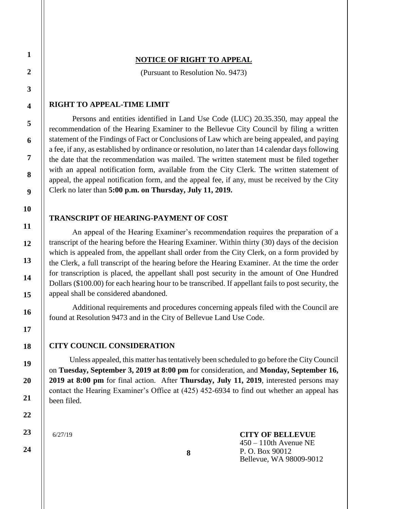# **NOTICE OF RIGHT TO APPEAL**

(Pursuant to Resolution No. 9473)

### **RIGHT TO APPEAL-TIME LIMIT**

Persons and entities identified in Land Use Code (LUC) 20.35.350, may appeal the recommendation of the Hearing Examiner to the Bellevue City Council by filing a written statement of the Findings of Fact or Conclusions of Law which are being appealed, and paying a fee, if any, as established by ordinance or resolution, no later than 14 calendar days following the date that the recommendation was mailed. The written statement must be filed together with an appeal notification form, available from the City Clerk. The written statement of appeal, the appeal notification form, and the appeal fee, if any, must be received by the City Clerk no later than **5:00 p.m. on Thursday, July 11, 2019.**

#### **TRANSCRIPT OF HEARING-PAYMENT OF COST**

An appeal of the Hearing Examiner's recommendation requires the preparation of a transcript of the hearing before the Hearing Examiner. Within thirty (30) days of the decision which is appealed from, the appellant shall order from the City Clerk, on a form provided by the Clerk, a full transcript of the hearing before the Hearing Examiner. At the time the order for transcription is placed, the appellant shall post security in the amount of One Hundred Dollars (\$100.00) for each hearing hour to be transcribed. If appellant fails to post security, the appeal shall be considered abandoned.

Additional requirements and procedures concerning appeals filed with the Council are found at Resolution 9473 and in the City of Bellevue Land Use Code.

## **CITY COUNCIL CONSIDERATION**

Unless appealed, this matter has tentatively been scheduled to go before the City Council on **Tuesday, September 3, 2019 at 8:00 pm** for consideration, and **Monday, September 16, 2019 at 8:00 pm** for final action. After **Thursday, July 11, 2019**, interested persons may contact the Hearing Examiner's Office at (425) 452-6934 to find out whether an appeal has been filed.

6/27/19

**CITY OF BELLEVUE** 450 – 110th Avenue NE P. O. Box 90012 Bellevue, WA 98009-9012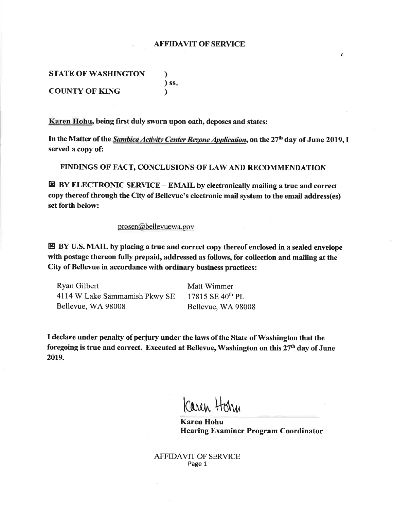# **AFFIDAVIT OF SERVICE**

ï

**STATE OF WASHINGTON** ℩  $)$  ss. **COUNTY OF KING** <sup>1</sup>

Karen Hohu, being first duly sworn upon oath, deposes and states:

In the Matter of the Sambica Activity Center Rezone Application, on the 27<sup>th</sup> day of June 2019, I served a copy of:

FINDINGS OF FACT, CONCLUSIONS OF LAW AND RECOMMENDATION

 $\boxtimes$  BY ELECTRONIC SERVICE – EMAIL by electronically mailing a true and correct copy thereof through the City of Bellevue's electronic mail system to the email address(es) set forth below:

## prosen@bellevuewa.gov

E BY U.S. MAIL by placing a true and correct copy thereof enclosed in a sealed envelope with postage thereon fully prepaid, addressed as follows, for collection and mailing at the City of Bellevue in accordance with ordinary business practices:

Ryan Gilbert 4114 W Lake Sammamish Pkwy SE Bellevue, WA 98008

Matt Wimmer 17815 SE 40<sup>th</sup> PL Bellevue, WA 98008

I declare under penalty of perjury under the laws of the State of Washington that the foregoing is true and correct. Executed at Bellevue, Washington on this 27<sup>th</sup> day of June 2019.

Caren Horn

**Karen Hohu Hearing Examiner Program Coordinator** 

**AFFIDAVIT OF SERVICE** Page 1